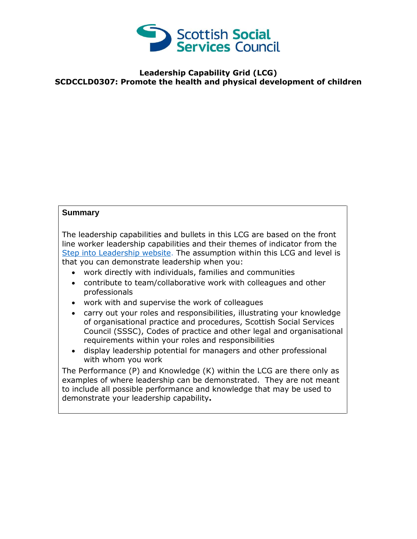

## **Leadership Capability Grid (LCG) SCDCCLD0307: Promote the health and physical development of children**

## **Summary**

The leadership capabilities and bullets in this LCG are based on the front line worker leadership capabilities and their themes of indicator from the [Step into Leadership website.](http://www.stepintoleadership.info/) The assumption within this LCG and level is that you can demonstrate leadership when you:

- work directly with individuals, families and communities
- contribute to team/collaborative work with colleagues and other professionals
- work with and supervise the work of colleagues
- carry out your roles and responsibilities, illustrating your knowledge of organisational practice and procedures, Scottish Social Services Council (SSSC), Codes of practice and other legal and organisational requirements within your roles and responsibilities
- display leadership potential for managers and other professional with whom you work

The Performance (P) and Knowledge (K) within the LCG are there only as examples of where leadership can be demonstrated. They are not meant to include all possible performance and knowledge that may be used to demonstrate your leadership capability**.**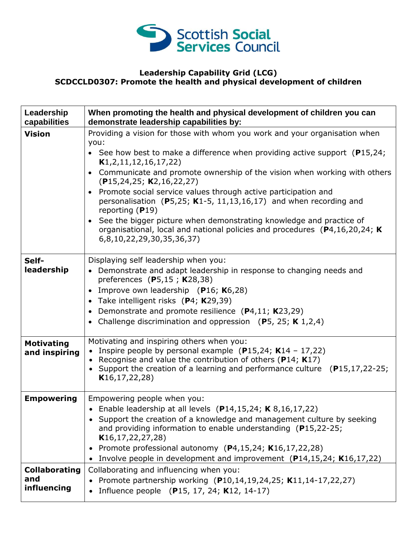

## **Leadership Capability Grid (LCG) SCDCCLD0307: Promote the health and physical development of children**

| Leadership<br>capabilities         | When promoting the health and physical development of children you can<br>demonstrate leadership capabilities by:                                                                 |
|------------------------------------|-----------------------------------------------------------------------------------------------------------------------------------------------------------------------------------|
| <b>Vision</b>                      | Providing a vision for those with whom you work and your organisation when<br>you:                                                                                                |
|                                    | • See how best to make a difference when providing active support $(P15, 24)$ ;<br>K1, 2, 11, 12, 16, 17, 22)                                                                     |
|                                    | • Communicate and promote ownership of the vision when working with others<br>(P15, 24, 25; K2, 16, 22, 27)                                                                       |
|                                    | • Promote social service values through active participation and<br>personalisation (P5,25; K1-5, 11,13,16,17) and when recording and<br>reporting $(P19)$                        |
|                                    | • See the bigger picture when demonstrating knowledge and practice of<br>organisational, local and national policies and procedures (P4,16,20,24; K)<br>6,8,10,22,29,30,35,36,37) |
| Self-<br>leadership                | Displaying self leadership when you:<br>• Demonstrate and adapt leadership in response to changing needs and                                                                      |
|                                    | preferences (P5,15; $K28,38$ )                                                                                                                                                    |
|                                    | Improve own leadership (P16; K6,28)<br>• Take intelligent risks (P4; K29,39)                                                                                                      |
|                                    | • Demonstrate and promote resilience $(P4, 11; K23, 29)$<br>• Challenge discrimination and oppression $(P5, 25; K 1,2,4)$                                                         |
|                                    | Motivating and inspiring others when you:                                                                                                                                         |
| <b>Motivating</b><br>and inspiring | • Inspire people by personal example (P15,24; K14 - 17,22)                                                                                                                        |
|                                    | • Recognise and value the contribution of others ( $P14$ ; K17)<br>Support the creation of a learning and performance culture $(P15, 17, 22-25)$ ;<br>K16, 17, 22, 28)            |
| <b>Empowering</b>                  | Empowering people when you:                                                                                                                                                       |
|                                    | • Enable leadership at all levels $(P14, 15, 24; K8, 16, 17, 22)$<br>• Support the creation of a knowledge and management culture by seeking                                      |
|                                    | and providing information to enable understanding (P15,22-25;<br>K16, 17, 22, 27, 28                                                                                              |
|                                    | • Promote professional autonomy $(P4, 15, 24; K16, 17, 22, 28)$<br>• Involve people in development and improvement (P14,15,24; K16,17,22)                                         |
| <b>Collaborating</b>               | Collaborating and influencing when you:                                                                                                                                           |
| and<br>influencing                 | Promote partnership working (P10,14,19,24,25; K11,14-17,22,27)<br>Influence people (P15, 17, 24; K12, 14-17)                                                                      |